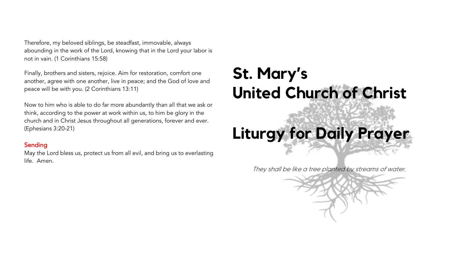Therefore, my beloved siblings, be steadfast, immovable, always abounding in the work of the Lord, knowing that in the Lord your labor is not in vain. (1 Corinthians 15:58)

Finally, brothers and sisters, rejoice. Aim for restoration, comfort one another, agree with one another, live in peace; and the God of love and peace will be with you. (2 Corinthians 13:11)

Now to him who is able to do far more abundantly than all that we ask or think, according to the power at work within us, to him be glory in the church and in Christ Jesus throughout all generations, forever and ever. (Ephesians 3:20-21)

#### Sending

May the Lord bless us, protect us from all evil, and bring us to everlasting life. Amen.

## **St. Mary's United Church of Christ**

# **Liturgy for Daily Prayer**

They shall be like a tree planted by streams of water.

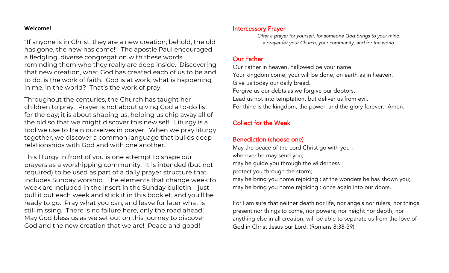#### **Welcome!**

"If anyone is in Christ, they are a new creation; behold, the old has gone, the new has come!" The apostle Paul encouraged a fledgling, diverse congregation with these words, reminding them who they really are deep inside. Discovering that new creation, what God has created each of us to be and to do, is the work of faith. God is at work; what is happening in me, in the world? That's the work of pray.

Throughout the centuries, the Church has taught her children to pray. Prayer is not about giving God a to-do list for the day; it is about shaping us, helping us chip away all of the old so that we might discover this new self. Liturgy is a tool we use to train ourselves in prayer. When we pray liturgy together, we discover a common language that builds deep relationships with God and with one another.

This liturgy in front of you is one attempt to shape our prayers as a worshipping community. It is intended (but not required) to be used as part of a daily prayer structure that includes Sunday worship. The elements that change week to week are included in the insert in the Sunday bulletin – just pull it out each week and stick it in this booklet, and you'll be ready to go. Pray what you can, and leave for later what is still missing. There is no failure here, only the road ahead! May God bless us as we set out on this journey to discover God and the new creation that we are! Peace and good!

#### Intercessory Prayer

*Offer a prayer for yourself, for someone God brings to your mind, a prayer for your Church, your community, and for the world.*

## Our Father

Our Father in heaven, hallowed be your name. Your kingdom come, your will be done, on earth as in heaven. Give us today our daily bread. Forgive us our debts as we forgive our debtors. Lead us not into temptation, but deliver us from evil. For thine is the kingdom, the power, and the glory forever. Amen.

## Collect for the Week

## Benediction (choose one)

May the peace of the Lord Christ go with you : wherever he may send you; may he guide you through the wilderness : protect you through the storm; may he bring you home rejoicing : at the wonders he has shown you; may he bring you home rejoicing : once again into our doors.

For I am sure that neither death nor life, nor angels nor rulers, nor things present nor things to come, nor powers, nor height nor depth, nor anything else in all creation, will be able to separate us from the love of God in Christ Jesus our Lord. (Romans 8:38-39)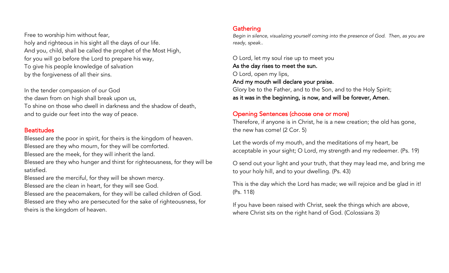Free to worship him without fear, holy and righteous in his sight all the days of our life. And you, child, shall be called the prophet of the Most High, for you will go before the Lord to prepare his way, To give his people knowledge of salvation by the forgiveness of all their sins.

In the tender compassion of our God the dawn from on high shall break upon us, To shine on those who dwell in darkness and the shadow of death, and to guide our feet into the way of peace.

#### **Beatitudes**

Blessed are the poor in spirit, for theirs is the kingdom of heaven. Blessed are they who mourn, for they will be comforted.

Blessed are the meek, for they will inherit the land.

Blessed are they who hunger and thirst for righteousness, for they will be satisfied.

Blessed are the merciful, for they will be shown mercy.

Blessed are the clean in heart, for they will see God.

Blessed are the peacemakers, for they will be called children of God.

Blessed are they who are persecuted for the sake of righteousness, for theirs is the kingdom of heaven.

## **Gathering**

*Begin in silence, visualizing yourself coming into the presence of God. Then, as you are ready, speak..*

O Lord, let my soul rise up to meet you As the day rises to meet the sun. O Lord, open my lips, And my mouth will declare your praise. Glory be to the Father, and to the Son, and to the Holy Spirit; as it was in the beginning, is now, and will be forever, Amen.

## Opening Sentences (choose one or more)

Therefore, if anyone is in Christ, he is a new creation; the old has gone, the new has come! (2 Cor. 5)

Let the words of my mouth, and the meditations of my heart, be acceptable in your sight; O Lord, my strength and my redeemer. (Ps. 19)

O send out your light and your truth, that they may lead me, and bring me to your holy hill, and to your dwelling. (Ps. 43)

This is the day which the Lord has made; we will rejoice and be glad in it! (Ps. 118)

If you have been raised with Christ, seek the things which are above, where Christ sits on the right hand of God. (Colossians 3)